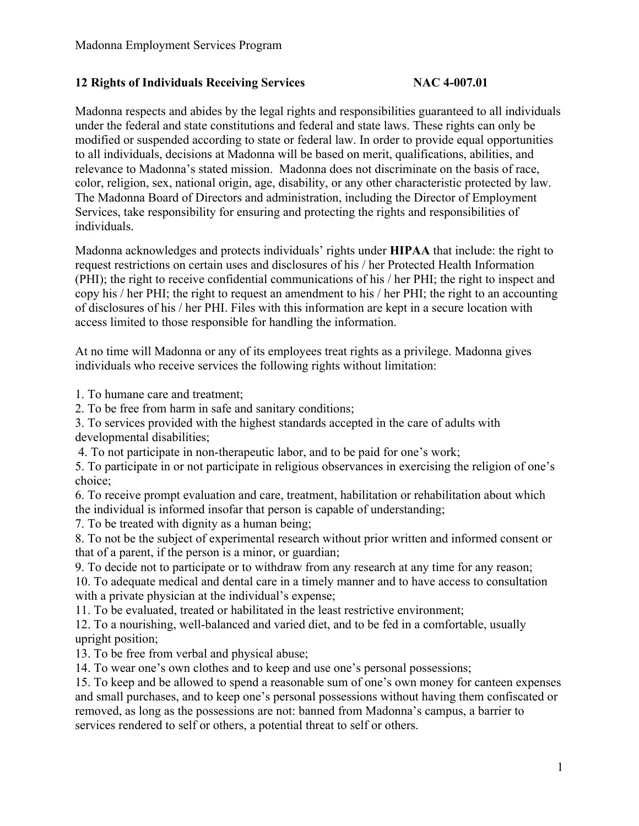## **12 Rights of Individuals Receiving Services NAC 4-007.01**

Madonna respects and abides by the legal rights and responsibilities guaranteed to all individuals under the federal and state constitutions and federal and state laws. These rights can only be modified or suspended according to state or federal law. In order to provide equal opportunities to all individuals, decisions at Madonna will be based on merit, qualifications, abilities, and relevance to Madonna's stated mission. Madonna does not discriminate on the basis of race, color, religion, sex, national origin, age, disability, or any other characteristic protected by law. The Madonna Board of Directors and administration, including the Director of Employment Services, take responsibility for ensuring and protecting the rights and responsibilities of individuals.

Madonna acknowledges and protects individuals' rights under **HIPAA** that include: the right to request restrictions on certain uses and disclosures of his / her Protected Health Information (PHI); the right to receive confidential communications of his / her PHI; the right to inspect and copy his / her PHI; the right to request an amendment to his / her PHI; the right to an accounting of disclosures of his / her PHI. Files with this information are kept in a secure location with access limited to those responsible for handling the information.

At no time will Madonna or any of its employees treat rights as a privilege. Madonna gives individuals who receive services the following rights without limitation:

1. To humane care and treatment;

2. To be free from harm in safe and sanitary conditions;

3. To services provided with the highest standards accepted in the care of adults with developmental disabilities;

4. To not participate in non-therapeutic labor, and to be paid for one's work;

5. To participate in or not participate in religious observances in exercising the religion of one's choice;

6. To receive prompt evaluation and care, treatment, habilitation or rehabilitation about which the individual is informed insofar that person is capable of understanding;

7. To be treated with dignity as a human being;

8. To not be the subject of experimental research without prior written and informed consent or that of a parent, if the person is a minor, or guardian;

9. To decide not to participate or to withdraw from any research at any time for any reason;

10. To adequate medical and dental care in a timely manner and to have access to consultation with a private physician at the individual's expense;

11. To be evaluated, treated or habilitated in the least restrictive environment;

12. To a nourishing, well-balanced and varied diet, and to be fed in a comfortable, usually upright position;

13. To be free from verbal and physical abuse;

14. To wear one's own clothes and to keep and use one's personal possessions;

15. To keep and be allowed to spend a reasonable sum of one's own money for canteen expenses and small purchases, and to keep one's personal possessions without having them confiscated or removed, as long as the possessions are not: banned from Madonna's campus, a barrier to services rendered to self or others, a potential threat to self or others.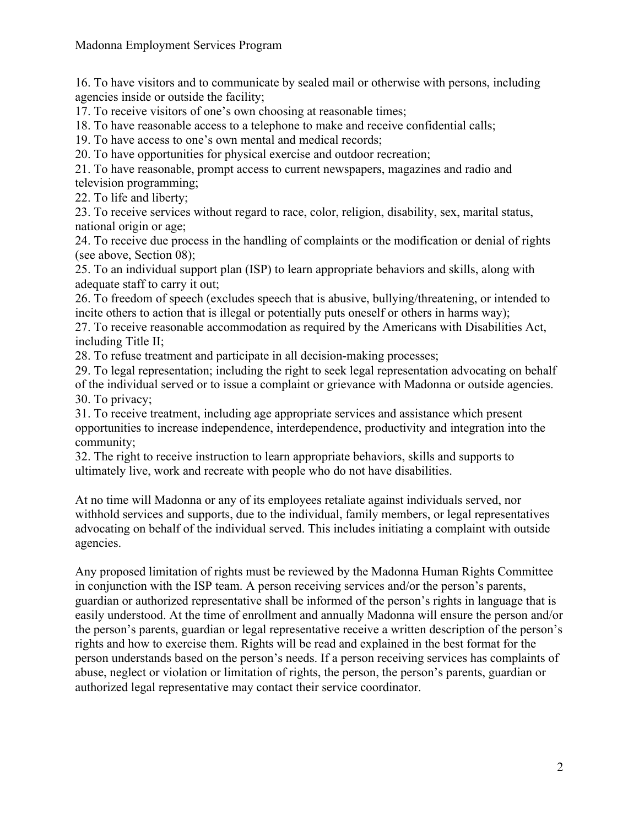16. To have visitors and to communicate by sealed mail or otherwise with persons, including agencies inside or outside the facility;

17. To receive visitors of one's own choosing at reasonable times;

18. To have reasonable access to a telephone to make and receive confidential calls;

19. To have access to one's own mental and medical records;

20. To have opportunities for physical exercise and outdoor recreation;

21. To have reasonable, prompt access to current newspapers, magazines and radio and television programming;

22. To life and liberty;

23. To receive services without regard to race, color, religion, disability, sex, marital status, national origin or age;

24. To receive due process in the handling of complaints or the modification or denial of rights (see above, Section 08);

25. To an individual support plan (ISP) to learn appropriate behaviors and skills, along with adequate staff to carry it out;

26. To freedom of speech (excludes speech that is abusive, bullying/threatening, or intended to incite others to action that is illegal or potentially puts oneself or others in harms way);

27. To receive reasonable accommodation as required by the Americans with Disabilities Act, including Title II;

28. To refuse treatment and participate in all decision-making processes;

29. To legal representation; including the right to seek legal representation advocating on behalf of the individual served or to issue a complaint or grievance with Madonna or outside agencies. 30. To privacy;

31. To receive treatment, including age appropriate services and assistance which present opportunities to increase independence, interdependence, productivity and integration into the community;

32. The right to receive instruction to learn appropriate behaviors, skills and supports to ultimately live, work and recreate with people who do not have disabilities.

At no time will Madonna or any of its employees retaliate against individuals served, nor withhold services and supports, due to the individual, family members, or legal representatives advocating on behalf of the individual served. This includes initiating a complaint with outside agencies.

Any proposed limitation of rights must be reviewed by the Madonna Human Rights Committee in conjunction with the ISP team. A person receiving services and/or the person's parents, guardian or authorized representative shall be informed of the person's rights in language that is easily understood. At the time of enrollment and annually Madonna will ensure the person and/or the person's parents, guardian or legal representative receive a written description of the person's rights and how to exercise them. Rights will be read and explained in the best format for the person understands based on the person's needs. If a person receiving services has complaints of abuse, neglect or violation or limitation of rights, the person, the person's parents, guardian or authorized legal representative may contact their service coordinator.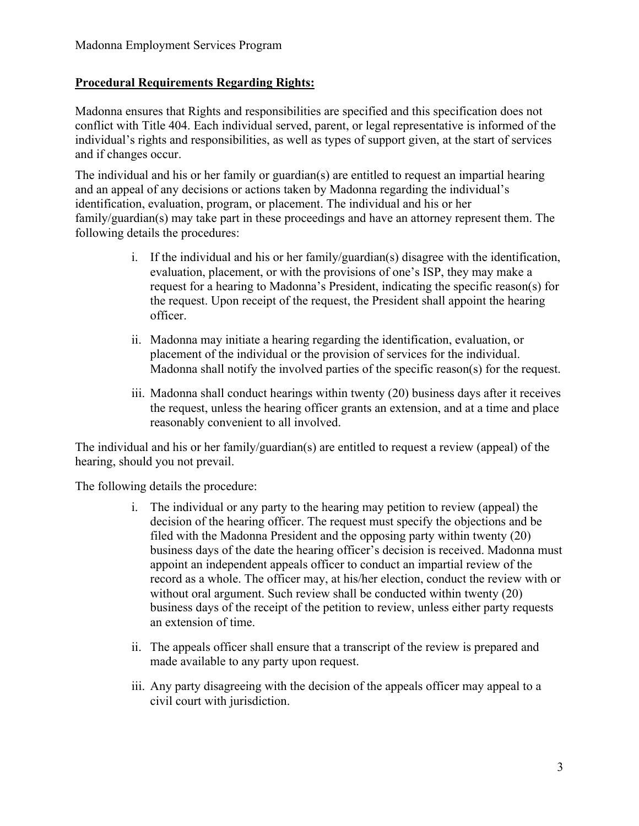## **Procedural Requirements Regarding Rights:**

Madonna ensures that Rights and responsibilities are specified and this specification does not conflict with Title 404. Each individual served, parent, or legal representative is informed of the individual's rights and responsibilities, as well as types of support given, at the start of services and if changes occur.

The individual and his or her family or guardian(s) are entitled to request an impartial hearing and an appeal of any decisions or actions taken by Madonna regarding the individual's identification, evaluation, program, or placement. The individual and his or her family/guardian(s) may take part in these proceedings and have an attorney represent them. The following details the procedures:

- i. If the individual and his or her family/guardian(s) disagree with the identification, evaluation, placement, or with the provisions of one's ISP, they may make a request for a hearing to Madonna's President, indicating the specific reason(s) for the request. Upon receipt of the request, the President shall appoint the hearing officer.
- ii. Madonna may initiate a hearing regarding the identification, evaluation, or placement of the individual or the provision of services for the individual. Madonna shall notify the involved parties of the specific reason(s) for the request.
- iii. Madonna shall conduct hearings within twenty (20) business days after it receives the request, unless the hearing officer grants an extension, and at a time and place reasonably convenient to all involved.

The individual and his or her family/guardian(s) are entitled to request a review (appeal) of the hearing, should you not prevail.

The following details the procedure:

- i. The individual or any party to the hearing may petition to review (appeal) the decision of the hearing officer. The request must specify the objections and be filed with the Madonna President and the opposing party within twenty (20) business days of the date the hearing officer's decision is received. Madonna must appoint an independent appeals officer to conduct an impartial review of the record as a whole. The officer may, at his/her election, conduct the review with or without oral argument. Such review shall be conducted within twenty (20) business days of the receipt of the petition to review, unless either party requests an extension of time.
- ii. The appeals officer shall ensure that a transcript of the review is prepared and made available to any party upon request.
- iii. Any party disagreeing with the decision of the appeals officer may appeal to a civil court with jurisdiction.